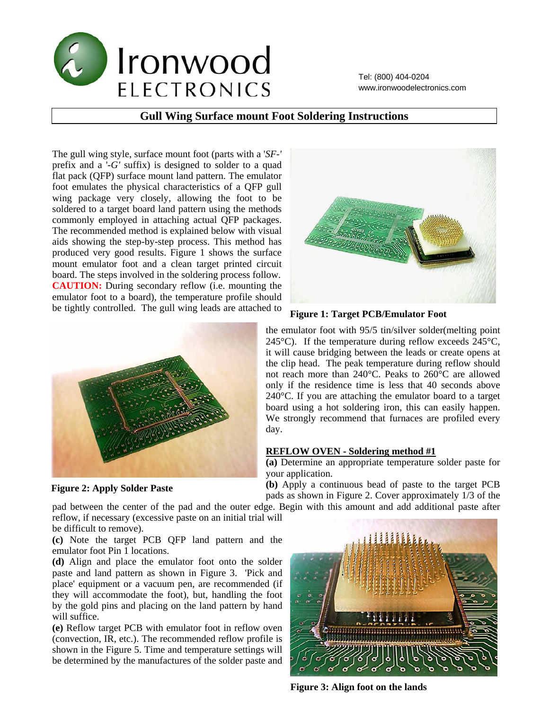

Tel: (800) 404-0204 www.ironwoodelectronics.com

## **Gull Wing Surface mount Foot Soldering Instructions**

The gull wing style, surface mount foot (parts with a '*SF-'*  prefix and a '*-G'* suffix) is designed to solder to a quad flat pack (QFP) surface mount land pattern. The emulator foot emulates the physical characteristics of a QFP gull wing package very closely, allowing the foot to be soldered to a target board land pattern using the methods commonly employed in attaching actual QFP packages. The recommended method is explained below with visual aids showing the step-by-step process. This method has produced very good results. Figure 1 shows the surface mount emulator foot and a clean target printed circuit board. The steps involved in the soldering process follow. **CAUTION:** During secondary reflow (i.e. mounting the emulator foot to a board), the temperature profile should be tightly controlled. The gull wing leads are attached to



**Figure 2: Apply Solder Paste** 



**Figure 1: Target PCB/Emulator Foot** 

the emulator foot with 95/5 tin/silver solder(melting point 245 $^{\circ}$ C). If the temperature during reflow exceeds 245 $^{\circ}$ C, it will cause bridging between the leads or create opens at the clip head. The peak temperature during reflow should not reach more than 240°C. Peaks to 260°C are allowed only if the residence time is less that 40 seconds above 240°C. If you are attaching the emulator board to a target board using a hot soldering iron, this can easily happen. We strongly recommend that furnaces are profiled every day.

### **REFLOW OVEN - Soldering method #1**

**(a)** Determine an appropriate temperature solder paste for your application.

**(b)** Apply a continuous bead of paste to the target PCB pads as shown in Figure 2. Cover approximately 1/3 of the

pad between the center of the pad and the outer edge. Begin with this amount and add additional paste after reflow, if necessary (excessive paste on an initial trial will be difficult to remove).

**(c)** Note the target PCB QFP land pattern and the emulator foot Pin 1 locations.

**(d)** Align and place the emulator foot onto the solder paste and land pattern as shown in Figure 3. 'Pick and place' equipment or a vacuum pen, are recommended (if they will accommodate the foot), but, handling the foot by the gold pins and placing on the land pattern by hand will suffice.

**(e)** Reflow target PCB with emulator foot in reflow oven (convection, IR, etc.). The recommended reflow profile is shown in the Figure 5. Time and temperature settings will be determined by the manufactures of the solder paste and



**Figure 3: Align foot on the lands**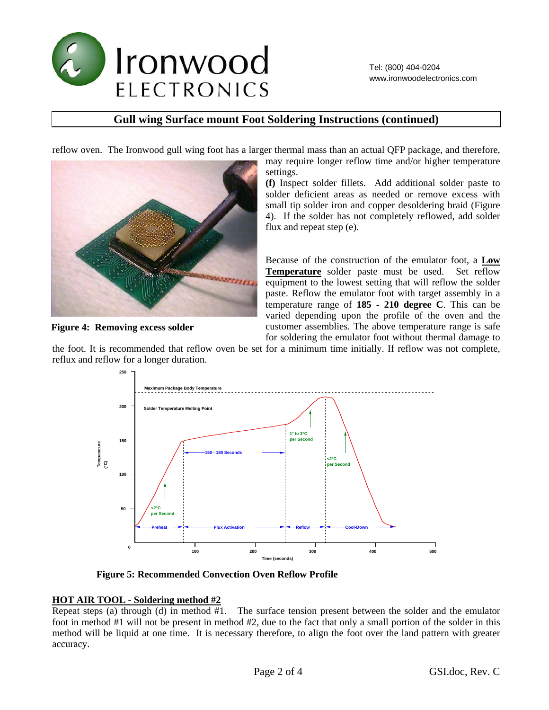

# **Gull wing Surface mount Foot Soldering Instructions (continued)**

reflow oven. The Ironwood gull wing foot has a larger thermal mass than an actual QFP package, and therefore,



**Figure 4: Removing excess solder** 

may require longer reflow time and/or higher temperature settings. **(f)** Inspect solder fillets. Add additional solder paste to

solder deficient areas as needed or remove excess with small tip solder iron and copper desoldering braid (Figure 4). If the solder has not completely reflowed, add solder flux and repeat step (e).

Because of the construction of the emulator foot, a **Low Temperature** solder paste must be used. Set reflow equipment to the lowest setting that will reflow the solder paste. Reflow the emulator foot with target assembly in a temperature range of **185 - 210 degree C**. This can be varied depending upon the profile of the oven and the customer assemblies. The above temperature range is safe for soldering the emulator foot without thermal damage to

the foot. It is recommended that reflow oven be set for a minimum time initially. If reflow was not complete, reflux and reflow for a longer duration.



**Figure 5: Recommended Convection Oven Reflow Profile** 

### **HOT AIR TOOL - Soldering method #2**

Repeat steps (a) through (d) in method #1. The surface tension present between the solder and the emulator foot in method #1 will not be present in method #2, due to the fact that only a small portion of the solder in this method will be liquid at one time. It is necessary therefore, to align the foot over the land pattern with greater accuracy.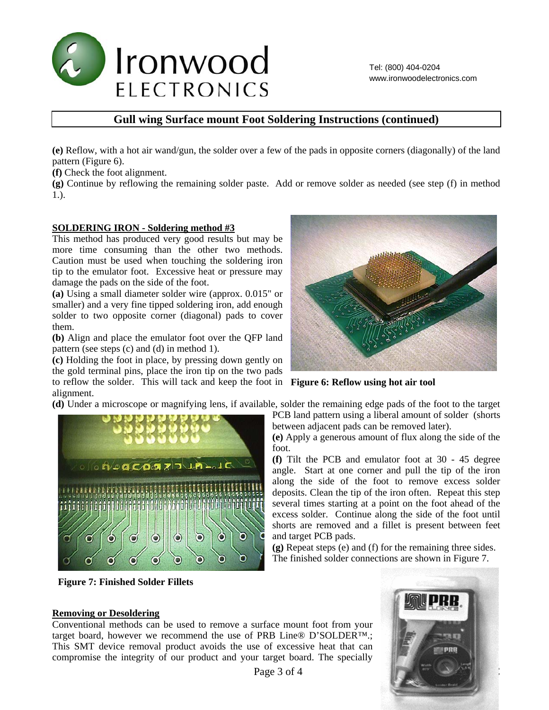

# **Gull wing Surface mount Foot Soldering Instructions (continued)**

**(e)** Reflow, with a hot air wand/gun, the solder over a few of the pads in opposite corners (diagonally) of the land pattern (Figure 6).

**(f)** Check the foot alignment.

**(g)** Continue by reflowing the remaining solder paste. Add or remove solder as needed (see step (f) in method 1.).

#### **SOLDERING IRON - Soldering method #3**

This method has produced very good results but may be more time consuming than the other two methods. Caution must be used when touching the soldering iron tip to the emulator foot. Excessive heat or pressure may damage the pads on the side of the foot.

**(a)** Using a small diameter solder wire (approx. 0.015" or smaller) and a very fine tipped soldering iron, add enough solder to two opposite corner (diagonal) pads to cover them.

**(b)** Align and place the emulator foot over the QFP land pattern (see steps (c) and (d) in method 1).

**(c)** Holding the foot in place, by pressing down gently on the gold terminal pins, place the iron tip on the two pads to reflow the solder. This will tack and keep the foot in **Figure 6: Reflow using hot air tool**  alignment.

**(d)** Under a microscope or magnifying lens, if available, solder the remaining edge pads of the foot to the target



**Figure 7: Finished Solder Fillets** 



PCB land pattern using a liberal amount of solder (shorts between adjacent pads can be removed later).

**(e)** Apply a generous amount of flux along the side of the foot.

**(f)** Tilt the PCB and emulator foot at 30 - 45 degree angle. Start at one corner and pull the tip of the iron along the side of the foot to remove excess solder deposits. Clean the tip of the iron often. Repeat this step several times starting at a point on the foot ahead of the excess solder. Continue along the side of the foot until shorts are removed and a fillet is present between feet and target PCB pads.

**(g)** Repeat steps (e) and (f) for the remaining three sides. The finished solder connections are shown in Figure 7.

#### **Removing or Desoldering**

Conventional methods can be used to remove a surface mount foot from your target board, however we recommend the use of PRB Line® D'SOLDER™.; This SMT device removal product avoids the use of excessive heat that can compromise the integrity of our product and your target board. The specially